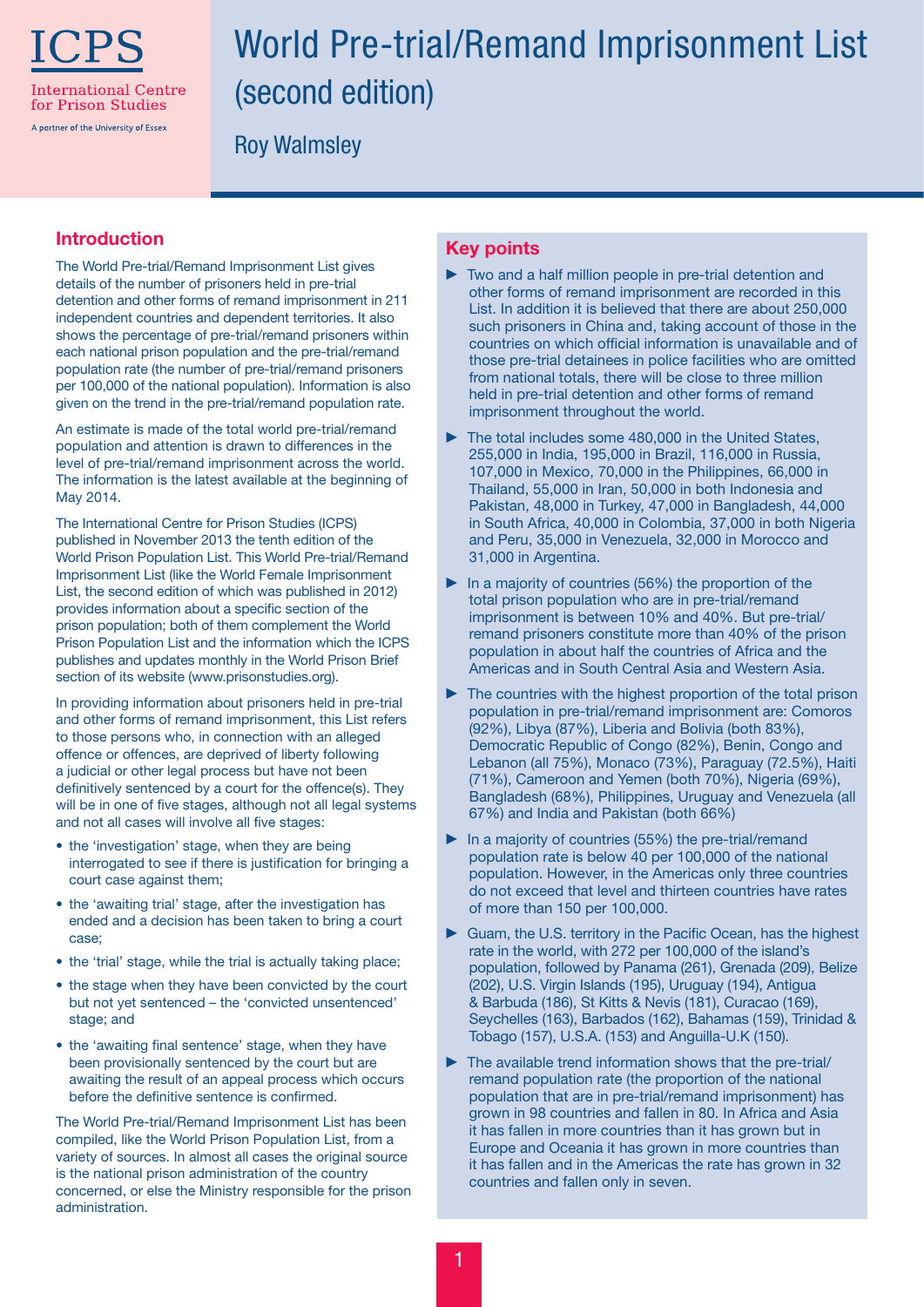

# World Pre-trial/Remand Imprisonment List (second edition)

Roy Walmsley

#### Introduction

The World Pre-trial/Remand Imprisonment List gives details of the number of prisoners held in pre-trial detention and other forms of remand imprisonment in 211 independent countries and dependent territories. It also shows the percentage of pre-trial/remand prisoners within each national prison population and the pre-trial/remand population rate (the number of pre-trial/remand prisoners per 100,000 of the national population). Information is also given on the trend in the pre-trial/remand population rate.

An estimate is made of the total world pre-trial/remand population and attention is drawn to differences in the level of pre-trial/remand imprisonment across the world. The information is the latest available at the beginning of May 2014.

The International Centre for Prison Studies (ICPS) published in November 2013 the tenth edition of the World Prison Population List. This World Pre-trial/Remand Imprisonment List (like the World Female Imprisonment List, the second edition of which was published in 2012) provides information about a specific section of the prison population; both of them complement the World Prison Population List and the information which the ICPS publishes and updates monthly in the World Prison Brief section of its website (www.prisonstudies.org).

In providing information about prisoners held in pre-trial and other forms of remand imprisonment, this List refers to those persons who, in connection with an alleged offence or offences, are deprived of liberty following a judicial or other legal process but have not been definitively sentenced by a court for the offence(s). They will be in one of five stages, although not all legal systems and not all cases will involve all five stages:

- the 'investigation' stage, when they are being interrogated to see if there is justification for bringing a court case against them;
- the 'awaiting trial' stage, after the investigation has ended and a decision has been taken to bring a court case;
- the 'trial' stage, while the trial is actually taking place;
- the stage when they have been convicted by the court but not yet sentenced – the 'convicted unsentenced' stage; and
- the 'awaiting final sentence' stage, when they have been provisionally sentenced by the court but are awaiting the result of an appeal process which occurs before the definitive sentence is confirmed.

The World Pre-trial/Remand Imprisonment List has been compiled, like the World Prison Population List, from a variety of sources. In almost all cases the original source is the national prison administration of the country concerned, or else the Ministry responsible for the prison administration.

## Key points

- $\triangleright$  Two and a half million people in pre-trial detention and other forms of remand imprisonment are recorded in this List. In addition it is believed that there are about 250,000 such prisoners in China and, taking account of those in the countries on which official information is unavailable and of those pre-trial detainees in police facilities who are omitted from national totals, there will be close to three million held in pre-trial detention and other forms of remand imprisonment throughout the world.
- $\blacktriangleright$  The total includes some 480,000 in the United States, 255,000 in India, 195,000 in Brazil, 116,000 in Russia, 107,000 in Mexico, 70,000 in the Philippines, 66,000 in Thailand, 55,000 in Iran, 50,000 in both Indonesia and Pakistan, 48,000 in Turkey, 47,000 in Bangladesh, 44,000 in South Africa, 40,000 in Colombia, 37,000 in both Nigeria and Peru, 35,000 in Venezuela, 32,000 in Morocco and 31,000 in Argentina.
- $\blacktriangleright$  In a majority of countries (56%) the proportion of the total prison population who are in pre-trial/remand imprisonment is between 10% and 40%. But pre-trial/ remand prisoners constitute more than 40% of the prison population in about half the countries of Africa and the Americas and in South Central Asia and Western Asia.
- $\blacktriangleright$  The countries with the highest proportion of the total prison population in pre-trial/remand imprisonment are: Comoros (92%), Libya (87%), Liberia and Bolivia (both 83%), Democratic Republic of Congo (82%), Benin, Congo and Lebanon (all 75%), Monaco (73%), Paraguay (72.5%), Haiti (71%), Cameroon and Yemen (both 70%), Nigeria (69%), Bangladesh (68%), Philippines, Uruguay and Venezuela (all 67%) and India and Pakistan (both 66%)
- In a majority of countries (55%) the pre-trial/remand population rate is below 40 per 100,000 of the national population. However, in the Americas only three countries do not exceed that level and thirteen countries have rates of more than 150 per 100,000.
- Guam, the U.S. territory in the Pacific Ocean, has the highest rate in the world, with 272 per 100,000 of the island's population, followed by Panama (261), Grenada (209), Belize (202), U.S. Virgin Islands (195), Uruguay (194), Antigua & Barbuda (186), St Kitts & Nevis (181), Curacao (169), Seychelles (163), Barbados (162), Bahamas (159), Trinidad & Tobago (157), U.S.A. (153) and Anguilla-U.K (150).
- $\blacktriangleright$  The available trend information shows that the pre-trial/ remand population rate (the proportion of the national population that are in pre-trial/remand imprisonment) has grown in 98 countries and fallen in 80. In Africa and Asia it has fallen in more countries than it has grown but in Europe and Oceania it has grown in more countries than it has fallen and in the Americas the rate has grown in 32 countries and fallen only in seven.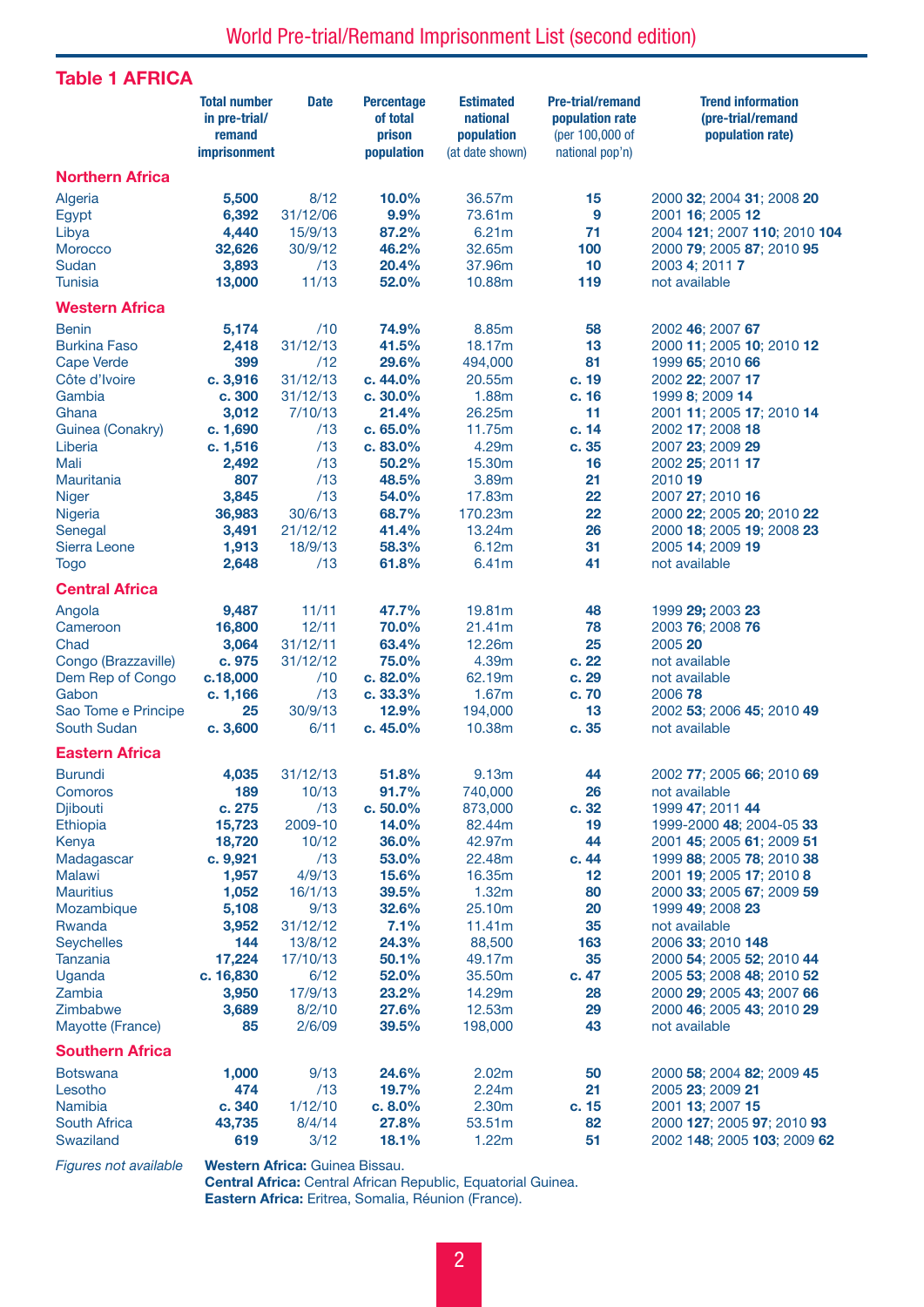## Table 1 AFRICA

|                                                                                                                                                                                                                                                                                      | <b>Total number</b><br>in pre-trial/<br>remand<br><b>imprisonment</b>                                                                                                   | <b>Date</b>                                                                                                                                                              | <b>Percentage</b><br>of total<br>prison<br>population                                                                                                                    | <b>Estimated</b><br>national<br>population<br>(at date shown)                                                                                                                | <b>Pre-trial/remand</b><br>population rate<br>(per 100,000 of<br>national pop'n)                                        | <b>Trend information</b><br>(pre-trial/remand<br>population rate)                                                                                                                                                                                                                                                                                                                                            |
|--------------------------------------------------------------------------------------------------------------------------------------------------------------------------------------------------------------------------------------------------------------------------------------|-------------------------------------------------------------------------------------------------------------------------------------------------------------------------|--------------------------------------------------------------------------------------------------------------------------------------------------------------------------|--------------------------------------------------------------------------------------------------------------------------------------------------------------------------|------------------------------------------------------------------------------------------------------------------------------------------------------------------------------|-------------------------------------------------------------------------------------------------------------------------|--------------------------------------------------------------------------------------------------------------------------------------------------------------------------------------------------------------------------------------------------------------------------------------------------------------------------------------------------------------------------------------------------------------|
| <b>Northern Africa</b>                                                                                                                                                                                                                                                               |                                                                                                                                                                         |                                                                                                                                                                          |                                                                                                                                                                          |                                                                                                                                                                              |                                                                                                                         |                                                                                                                                                                                                                                                                                                                                                                                                              |
| Algeria<br>Egypt<br>Libya<br><b>Morocco</b><br>Sudan<br><b>Tunisia</b>                                                                                                                                                                                                               | 5,500<br>6,392<br>4,440<br>32,626<br>3,893<br>13,000                                                                                                                    | 8/12<br>31/12/06<br>15/9/13<br>30/9/12<br>/13<br>11/13                                                                                                                   | 10.0%<br>9.9%<br>87.2%<br>46.2%<br>20.4%<br>52.0%                                                                                                                        | 36.57m<br>73.61m<br>6.21m<br>32.65m<br>37,96m<br>10.88m                                                                                                                      | 15<br>$\boldsymbol{9}$<br>71<br>100<br>10<br>119                                                                        | 2000 32; 2004 31; 2008 20<br>2001 16; 2005 12<br>2004 121; 2007 110; 2010 104<br>2000 79; 2005 87; 2010 95<br>2003 4; 2011 7<br>not available                                                                                                                                                                                                                                                                |
| <b>Western Africa</b>                                                                                                                                                                                                                                                                |                                                                                                                                                                         |                                                                                                                                                                          |                                                                                                                                                                          |                                                                                                                                                                              |                                                                                                                         |                                                                                                                                                                                                                                                                                                                                                                                                              |
| <b>Benin</b>                                                                                                                                                                                                                                                                         | 5,174                                                                                                                                                                   | /10                                                                                                                                                                      | 74.9%                                                                                                                                                                    | 8.85m                                                                                                                                                                        | 58                                                                                                                      | 2002 46; 2007 67                                                                                                                                                                                                                                                                                                                                                                                             |
| <b>Burkina Faso</b><br><b>Cape Verde</b><br>Côte d'Ivoire<br>Gambia<br>Ghana<br>Guinea (Conakry)<br>Liberia<br>Mali<br>Mauritania<br><b>Niger</b><br>Nigeria<br>Senegal<br>Sierra Leone<br><b>Togo</b><br><b>Central Africa</b><br>Angola<br>Cameroon<br>Chad<br>Congo (Brazzaville) | 2,418<br>399<br>c. 3,916<br>c. 300<br>3,012<br>c. 1,690<br>c. 1,516<br>2,492<br>807<br>3,845<br>36,983<br>3,491<br>1,913<br>2,648<br>9,487<br>16,800<br>3,064<br>c. 975 | 31/12/13<br>/12<br>31/12/13<br>31/12/13<br>7/10/13<br>/13<br>/13<br>/13<br>/13<br>/13<br>30/6/13<br>21/12/12<br>18/9/13<br>/13<br>11/11<br>12/11<br>31/12/11<br>31/12/12 | 41.5%<br>29.6%<br>c. 44.0%<br>c.30.0%<br>21.4%<br>c.65.0%<br>c. 83.0%<br>50.2%<br>48.5%<br>54.0%<br>68.7%<br>41.4%<br>58.3%<br>61.8%<br>47.7%<br>70.0%<br>63.4%<br>75.0% | 18.17m<br>494,000<br>20.55m<br>1.88m<br>26.25m<br>11.75m<br>4.29m<br>15.30m<br>3.89m<br>17.83m<br>170.23m<br>13.24m<br>6.12m<br>6.41m<br>19.81m<br>21.41m<br>12.26m<br>4.39m | 13<br>81<br>c. 19<br>c. 16<br>11<br>c. 14<br>c. 35<br>16<br>21<br>22<br>22<br>26<br>31<br>41<br>48<br>78<br>25<br>c. 22 | 2000 11; 2005 10; 2010 12<br>1999 65; 2010 66<br>2002 22; 2007 17<br>1999 8; 2009 14<br>2001 11; 2005 17; 2010 14<br>2002 17; 2008 18<br>2007 23; 2009 29<br>2002 25; 2011 17<br>2010 19<br>2007 27; 2010 16<br>2000 22; 2005 20; 2010 22<br>2000 18; 2005 19; 2008 23<br>2005 14; 2009 19<br>not available<br>1999 29; 2003 23<br>2003 76; 2008 76<br>2005 20<br>not available                              |
| Dem Rep of Congo<br>Gabon<br>Sao Tome e Principe<br><b>South Sudan</b>                                                                                                                                                                                                               | c.18,000<br>c. 1,166<br>25<br>c.3,600                                                                                                                                   | /10<br>/13<br>30/9/13<br>6/11                                                                                                                                            | c. 82.0%<br>c. 33.3%<br>12.9%<br>c. 45.0%                                                                                                                                | 62.19m<br>1.67m<br>194,000<br>10.38m                                                                                                                                         | c. 29<br>c. 70<br>13<br>c. 35                                                                                           | not available<br>2006 78<br>2002 53; 2006 45; 2010 49<br>not available                                                                                                                                                                                                                                                                                                                                       |
| <b>Eastern Africa</b>                                                                                                                                                                                                                                                                |                                                                                                                                                                         |                                                                                                                                                                          |                                                                                                                                                                          |                                                                                                                                                                              |                                                                                                                         |                                                                                                                                                                                                                                                                                                                                                                                                              |
| <b>Burundi</b><br>Comoros<br><b>Djibouti</b><br>Ethiopia<br>Kenya<br>Madagascar<br><b>Malawi</b><br><b>Mauritius</b><br>Mozambique<br>Rwanda<br><b>Seychelles</b><br><b>Tanzania</b><br>Uganda<br>Zambia<br>Zimbabwe<br>Mayotte (France)<br><b>Southern Africa</b>                   | 4,035<br>189<br>c. 275<br>15,723<br>18,720<br>c. 9,921<br>1,957<br>1,052<br>5,108<br>3,952<br>144<br>17,224<br>c. 16,830<br>3,950<br>3,689<br>85                        | 31/12/13<br>10/13<br>/13<br>2009-10<br>10/12<br>/13<br>4/9/13<br>16/1/13<br>9/13<br>31/12/12<br>13/8/12<br>17/10/13<br>6/12<br>17/9/13<br>8/2/10<br>2/6/09               | 51.8%<br>91.7%<br>c.50.0%<br>14.0%<br>36.0%<br>53.0%<br>15.6%<br>39.5%<br>32.6%<br>7.1%<br>24.3%<br>50.1%<br>52.0%<br>23.2%<br>27.6%<br>39.5%                            | 9.13m<br>740,000<br>873,000<br>82.44m<br>42.97m<br>22.48m<br>16.35m<br>1.32m<br>25.10m<br>11.41m<br>88,500<br>49.17m<br>35.50m<br>14.29m<br>12.53m<br>198,000                | 44<br>26<br>c.32<br>19<br>44<br>c. 44<br>12<br>80<br>20<br>35<br>163<br>35<br>c. 47<br>28<br>29<br>43                   | 2002 77; 2005 66; 2010 69<br>not available<br>1999 47; 2011 44<br>1999-2000 48; 2004-05 33<br>2001 45; 2005 61; 2009 51<br>1999 88; 2005 78; 2010 38<br>2001 19; 2005 17; 2010 8<br>2000 33; 2005 67; 2009 59<br>1999 49; 2008 23<br>not available<br>2006 33; 2010 148<br>2000 54; 2005 52; 2010 44<br>2005 53; 2008 48; 2010 52<br>2000 29; 2005 43; 2007 66<br>2000 46; 2005 43; 2010 29<br>not available |
| <b>Botswana</b><br>Lesotho<br>Namibia<br><b>South Africa</b><br>Swaziland                                                                                                                                                                                                            | 1,000<br>474<br>c. 340<br>43,735<br>619                                                                                                                                 | 9/13<br>/13<br>1/12/10<br>8/4/14<br>3/12                                                                                                                                 | 24.6%<br>19.7%<br>c. 8.0%<br>27.8%<br>18.1%                                                                                                                              | 2.02m<br>2.24m<br>2.30m<br>53.51m<br>1.22m                                                                                                                                   | 50<br>21<br>c. 15<br>82<br>51                                                                                           | 2000 58; 2004 82; 2009 45<br>2005 23; 2009 21<br>2001 13; 2007 15<br>2000 127; 2005 97; 2010 93<br>2002 148; 2005 103; 2009 62                                                                                                                                                                                                                                                                               |

*Figures not available* Western Africa: Guinea Bissau.

Central Africa: Central African Republic, Equatorial Guinea. Eastern Africa: Eritrea, Somalia, Réunion (France).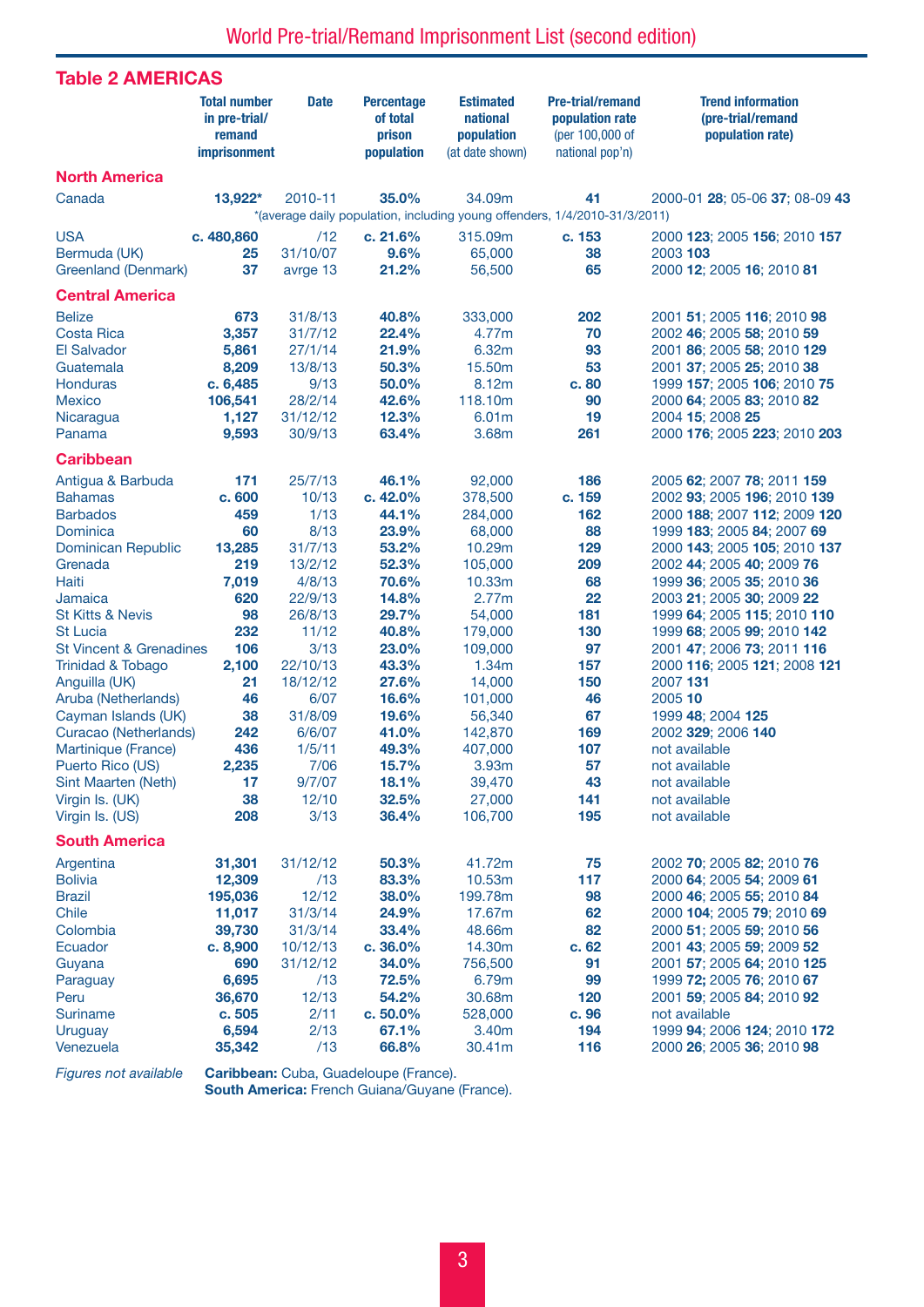| <b>Table 2 AMERICAS</b>            |                                                                |             |                                                       |                                                               |                                                                                  |                                                                   |
|------------------------------------|----------------------------------------------------------------|-------------|-------------------------------------------------------|---------------------------------------------------------------|----------------------------------------------------------------------------------|-------------------------------------------------------------------|
|                                    | <b>Total number</b><br>in pre-trial/<br>remand<br>imprisonment | <b>Date</b> | <b>Percentage</b><br>of total<br>prison<br>population | <b>Estimated</b><br>national<br>population<br>(at date shown) | <b>Pre-trial/remand</b><br>population rate<br>(per 100,000 of<br>national pop'n) | <b>Trend information</b><br>(pre-trial/remand<br>population rate) |
| <b>North America</b>               |                                                                |             |                                                       |                                                               |                                                                                  |                                                                   |
| Canada                             | 13,922*                                                        | 2010-11     | 35.0%                                                 | 34.09m                                                        | 41<br>*(average daily population, including young offenders, 1/4/2010-31/3/2011) | 2000-01 28; 05-06 37; 08-09 43                                    |
| <b>USA</b>                         | c. 480,860                                                     | /12         | c. 21.6%                                              | 315.09m                                                       | c. 153                                                                           | 2000 123; 2005 156; 2010 157                                      |
| Bermuda (UK)                       | 25                                                             | 31/10/07    | 9.6%                                                  | 65,000                                                        | 38                                                                               | 2003 103                                                          |
| Greenland (Denmark)                | 37                                                             | avrge 13    | 21.2%                                                 | 56,500                                                        | 65                                                                               | 2000 12; 2005 16; 2010 81                                         |
| <b>Central America</b>             |                                                                |             |                                                       |                                                               |                                                                                  |                                                                   |
| <b>Belize</b>                      | 673                                                            | 31/8/13     | 40.8%                                                 | 333,000                                                       | 202                                                                              | 2001 51; 2005 116; 2010 98                                        |
| <b>Costa Rica</b>                  | 3,357                                                          | 31/7/12     | 22.4%                                                 | 4.77m                                                         | 70                                                                               | 2002 46; 2005 58; 2010 59                                         |
| <b>El Salvador</b>                 | 5,861                                                          | 27/1/14     | 21.9%                                                 | 6.32m                                                         | 93                                                                               | 2001 86; 2005 58; 2010 129                                        |
| Guatemala                          | 8,209                                                          | 13/8/13     | 50.3%                                                 | 15.50m                                                        | 53                                                                               | 2001 37; 2005 25; 2010 38                                         |
| <b>Honduras</b>                    | c. 6,485                                                       | 9/13        | 50.0%                                                 | 8.12m                                                         | c. 80                                                                            | 1999 157; 2005 106; 2010 75                                       |
| <b>Mexico</b>                      | 106,541                                                        | 28/2/14     | 42.6%                                                 | 118.10m                                                       | 90                                                                               | 2000 64; 2005 83; 2010 82                                         |
| Nicaragua                          | 1,127                                                          | 31/12/12    | 12.3%                                                 | 6.01m                                                         | 19                                                                               | 2004 15; 2008 25                                                  |
| Panama                             | 9,593                                                          | 30/9/13     | 63.4%                                                 | 3.68m                                                         | 261                                                                              | 2000 176; 2005 223; 2010 203                                      |
| <b>Caribbean</b>                   |                                                                |             |                                                       |                                                               |                                                                                  |                                                                   |
| Antigua & Barbuda                  | 171                                                            | 25/7/13     | 46.1%                                                 | 92,000                                                        | 186                                                                              | 2005 62; 2007 78; 2011 159                                        |
| <b>Bahamas</b>                     | c. 600                                                         | 10/13       | c.42.0%                                               | 378,500                                                       | c. 159                                                                           | 2002 93; 2005 196; 2010 139                                       |
| <b>Barbados</b>                    | 459                                                            | 1/13        | 44.1%                                                 | 284,000                                                       | 162                                                                              | 2000 188; 2007 112; 2009 120                                      |
| Dominica                           | 60                                                             | 8/13        | 23.9%                                                 | 68,000                                                        | 88                                                                               | 1999 183; 2005 84; 2007 69                                        |
| <b>Dominican Republic</b>          | 13,285                                                         | 31/7/13     | 53.2%                                                 | 10.29m                                                        | 129                                                                              | 2000 143; 2005 105; 2010 137                                      |
| Grenada                            | 219                                                            | 13/2/12     | 52.3%                                                 | 105,000                                                       | 209                                                                              | 2002 44; 2005 40; 2009 76                                         |
| Haiti                              | 7,019                                                          | 4/8/13      | 70.6%                                                 | 10.33m                                                        | 68                                                                               | 1999 36; 2005 35; 2010 36                                         |
| Jamaica                            | 620                                                            | 22/9/13     | 14.8%                                                 | 2.77m                                                         | 22                                                                               | 2003 21; 2005 30; 2009 22                                         |
| <b>St Kitts &amp; Nevis</b>        | 98                                                             | 26/8/13     | 29.7%                                                 | 54,000                                                        | 181                                                                              | 1999 64; 2005 115; 2010 110                                       |
| <b>St Lucia</b>                    | 232                                                            | 11/12       | 40.8%                                                 | 179,000                                                       | 130                                                                              | 1999 68; 2005 99; 2010 142                                        |
| <b>St Vincent &amp; Grenadines</b> | 106                                                            | 3/13        | 23.0%                                                 | 109,000                                                       | 97                                                                               | 2001 47; 2006 73; 2011 116                                        |
| <b>Trinidad &amp; Tobago</b>       | 2,100                                                          | 22/10/13    | 43.3%                                                 | 1.34m                                                         | 157                                                                              | 2000 116; 2005 121; 2008 121                                      |
| Anguilla (UK)                      | 21                                                             | 18/12/12    | 27.6%                                                 | 14,000                                                        | 150                                                                              | 2007 131                                                          |
| Aruba (Netherlands)                | 46                                                             | 6/07        | 16.6%                                                 | 101,000                                                       | 46                                                                               | 2005 10                                                           |
| Cayman Islands (UK)                | 38                                                             | 31/8/09     | 19.6%                                                 | 56,340                                                        | 67                                                                               | 1999 48; 2004 125                                                 |
| Curacao (Netherlands)              | 242                                                            | 6/6/07      | 41.0%                                                 | 142,870                                                       | 169                                                                              | 2002 329; 2006 140                                                |
| Martinique (France)                | 436                                                            | 1/5/11      | 49.3%                                                 | 407,000                                                       | 107                                                                              | not available                                                     |
| Puerto Rico (US)                   | 2,235                                                          | 7/06        | 15.7%                                                 | 3.93m                                                         | 57                                                                               | not available                                                     |
| Sint Maarten (Neth)                | 17                                                             | 9/7/07      | 18.1%                                                 | 39,470                                                        | 43                                                                               | not available                                                     |
| Virgin Is. (UK)                    | 38                                                             | 12/10       | 32.5%                                                 | 27,000                                                        | 141                                                                              | not available                                                     |
| Virgin Is. (US)                    | 208                                                            | 3/13        | 36.4%                                                 | 106,700                                                       | 195                                                                              | not available                                                     |
| <b>South America</b>               |                                                                |             |                                                       |                                                               |                                                                                  |                                                                   |
| Argentina                          | 31,301                                                         | 31/12/12    | 50.3%                                                 | 41.72m                                                        | 75                                                                               | 2002 70; 2005 82; 2010 76                                         |
| <b>Bolivia</b>                     | 12,309                                                         | /13         | 83.3%                                                 | 10.53m                                                        | 117                                                                              | 2000 64; 2005 54; 2009 61                                         |
| <b>Brazil</b>                      | 195,036                                                        | 12/12       | 38.0%                                                 | 199.78m                                                       | 98                                                                               | 2000 46; 2005 55; 2010 84                                         |
| Chile                              | 11,017                                                         | 31/3/14     | 24.9%                                                 | 17.67m                                                        | 62                                                                               | 2000 104; 2005 79; 2010 69                                        |
| Colombia                           | 39,730                                                         | 31/3/14     | 33.4%                                                 | 48.66m                                                        | 82                                                                               | 2000 51; 2005 59; 2010 56                                         |
| Ecuador                            | c. 8,900                                                       | 10/12/13    | c.36.0%                                               | 14.30m                                                        | c. 62                                                                            | 2001 43; 2005 59; 2009 52                                         |
| Guyana                             | 690                                                            | 31/12/12    | 34.0%                                                 | 756,500                                                       | 91                                                                               | 2001 57; 2005 64; 2010 125                                        |
| Paraguay                           | 6,695                                                          | /13         | 72.5%                                                 | 6.79m                                                         | 99                                                                               | 1999 72; 2005 76; 2010 67                                         |
| Peru                               | 36,670                                                         | 12/13       | 54.2%                                                 | 30.68m                                                        | 120                                                                              | 2001 59; 2005 84; 2010 92                                         |
| Suriname                           | c. 505                                                         | 2/11        | c.50.0%                                               | 528,000                                                       | c. 96                                                                            | not available                                                     |
| <b>Uruguay</b>                     | 6,594                                                          | 2/13        | 67.1%                                                 | 3.40m                                                         | 194                                                                              | 1999 94; 2006 124; 2010 172                                       |
| Venezuela                          | 35,342                                                         | /13         | 66.8%                                                 | 30.41m                                                        | 116                                                                              | 2000 26; 2005 36; 2010 98                                         |
|                                    |                                                                |             |                                                       |                                                               |                                                                                  |                                                                   |

*Figures not available* **Caribbean:** Cuba, Guadeloupe (France). South America: French Guiana/Guyane (France).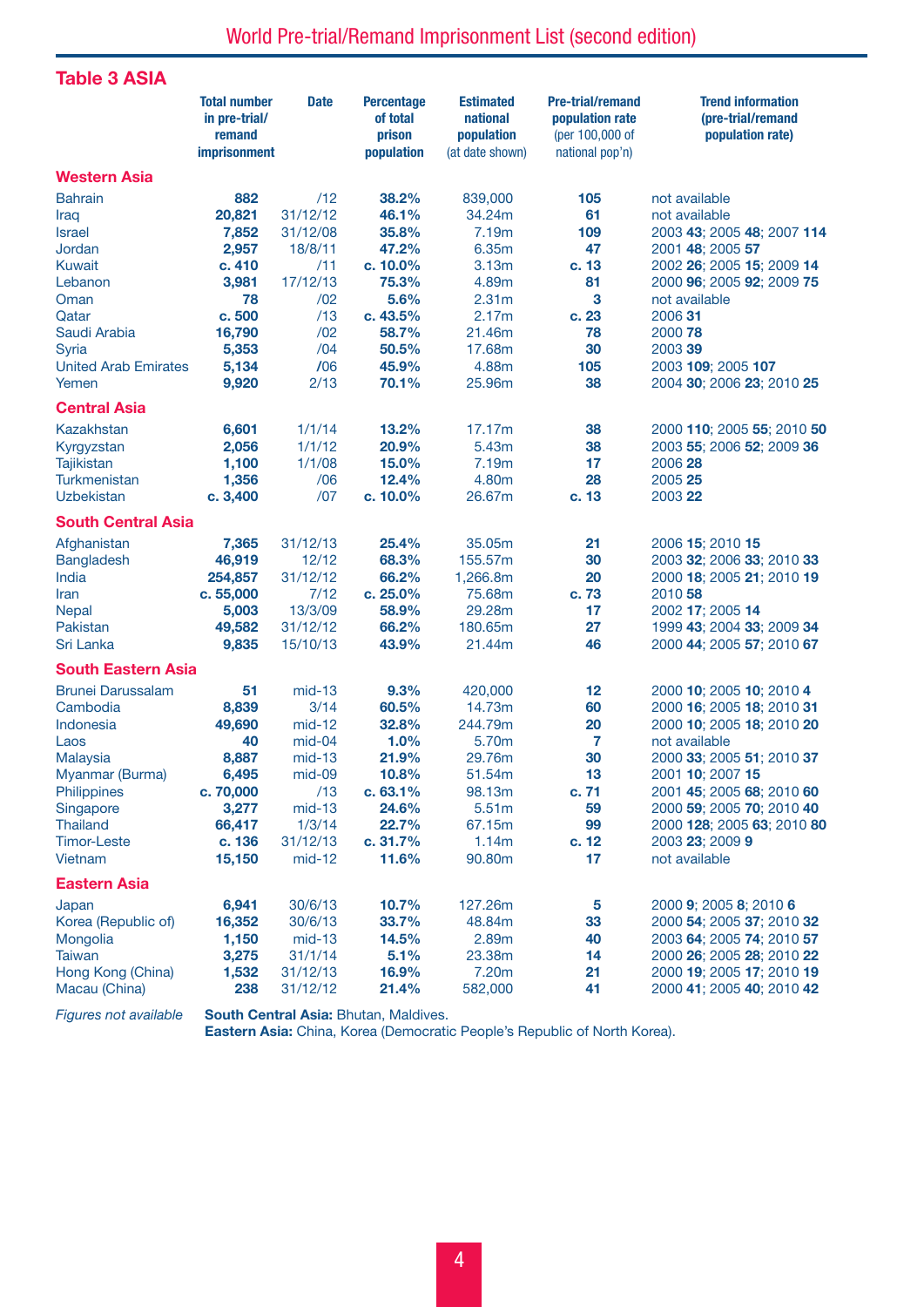Table 3 ASIA

|                                    | <b>Total number</b><br>in pre-trial/<br>remand<br><b>imprisonment</b> | <b>Date</b>          | <b>Percentage</b><br>of total<br>prison<br>population | <b>Estimated</b><br>national<br>population<br>(at date shown) | <b>Pre-trial/remand</b><br>population rate<br>(per 100,000 of<br>national pop'n) | <b>Trend information</b><br>(pre-trial/remand<br>population rate) |
|------------------------------------|-----------------------------------------------------------------------|----------------------|-------------------------------------------------------|---------------------------------------------------------------|----------------------------------------------------------------------------------|-------------------------------------------------------------------|
| <b>Western Asia</b>                |                                                                       |                      |                                                       |                                                               |                                                                                  |                                                                   |
| <b>Bahrain</b>                     | 882                                                                   | /12                  | 38.2%                                                 | 839,000                                                       | 105                                                                              | not available                                                     |
| Iraq                               | 20,821                                                                | 31/12/12             | 46.1%                                                 | 34.24m                                                        | 61                                                                               | not available                                                     |
| <b>Israel</b>                      | 7,852                                                                 | 31/12/08             | 35.8%                                                 | 7.19m                                                         | 109                                                                              | 2003 43; 2005 48; 2007 114                                        |
| Jordan                             | 2,957                                                                 | 18/8/11              | 47.2%                                                 | 6.35m                                                         | 47                                                                               | 2001 48; 2005 57                                                  |
| <b>Kuwait</b>                      | c. 410                                                                | /11                  | c. 10.0%                                              | 3.13m                                                         | c. 13                                                                            | 2002 26; 2005 15; 2009 14                                         |
| Lebanon                            | 3,981                                                                 | 17/12/13             | 75.3%                                                 | 4.89m                                                         | 81                                                                               | 2000 96; 2005 92; 2009 75                                         |
| Oman                               | 78                                                                    | /02                  | 5.6%                                                  | 2.31 <sub>m</sub>                                             | 3                                                                                | not available                                                     |
| Qatar                              | c. 500                                                                | /13                  | c. 43.5%                                              | 2.17m                                                         | c. 23                                                                            | 2006 31                                                           |
| Saudi Arabia                       | 16,790                                                                | /02                  | 58.7%                                                 | 21.46m                                                        | 78                                                                               | 2000 78                                                           |
| Syria                              | 5,353                                                                 | /04                  | 50.5%                                                 | 17.68m                                                        | 30                                                                               | 2003 39                                                           |
| <b>United Arab Emirates</b>        | 5,134                                                                 | /06                  | 45.9%                                                 | 4.88m                                                         | 105                                                                              | 2003 109; 2005 107                                                |
| Yemen                              | 9,920                                                                 | 2/13                 | 70.1%                                                 | 25.96m                                                        | 38                                                                               | 2004 30; 2006 23; 2010 25                                         |
| <b>Central Asia</b>                |                                                                       |                      |                                                       |                                                               |                                                                                  |                                                                   |
| <b>Kazakhstan</b>                  | 6,601                                                                 | 1/1/14               | 13.2%                                                 | 17.17m                                                        | 38                                                                               | 2000 110; 2005 55; 2010 50                                        |
| Kyrgyzstan                         | 2,056                                                                 | 1/1/12               | 20.9%                                                 | 5.43m                                                         | 38                                                                               | 2003 55; 2006 52; 2009 36                                         |
| <b>Tajikistan</b>                  | 1,100                                                                 | 1/1/08               | 15.0%                                                 | 7.19m                                                         | 17                                                                               | 2006 28                                                           |
| Turkmenistan                       | 1,356                                                                 | /06                  | 12.4%                                                 | 4.80m                                                         | 28                                                                               | 2005 25                                                           |
| <b>Uzbekistan</b>                  | c. 3,400                                                              | /07                  | $c. 10.0\%$                                           | 26.67m                                                        | c. 13                                                                            | 2003 22                                                           |
| <b>South Central Asia</b>          |                                                                       |                      |                                                       |                                                               |                                                                                  |                                                                   |
| Afghanistan                        | 7,365                                                                 | 31/12/13             | 25.4%                                                 | 35.05m                                                        | 21                                                                               | 2006 15; 2010 15                                                  |
| Bangladesh                         | 46,919                                                                | 12/12                | 68.3%                                                 | 155.57m                                                       | 30                                                                               | 2003 32; 2006 33; 2010 33                                         |
| India                              | 254,857                                                               | 31/12/12             | 66.2%                                                 | 1,266.8m                                                      | 20                                                                               | 2000 18; 2005 21; 2010 19                                         |
| Iran                               | c. 55,000                                                             | 7/12                 | c. 25.0%                                              | 75.68m                                                        | c. 73                                                                            | 2010 58                                                           |
| <b>Nepal</b>                       | 5,003                                                                 | 13/3/09              | 58.9%                                                 | 29.28m                                                        | 17                                                                               | 2002 17; 2005 14                                                  |
| Pakistan                           | 49,582                                                                | 31/12/12             | 66.2%                                                 | 180.65m                                                       | 27                                                                               | 1999 43; 2004 33; 2009 34                                         |
| Sri Lanka                          | 9,835                                                                 | 15/10/13             | 43.9%                                                 | 21.44m                                                        | 46                                                                               | 2000 44; 2005 57; 2010 67                                         |
| <b>South Eastern Asia</b>          |                                                                       |                      |                                                       |                                                               |                                                                                  |                                                                   |
| <b>Brunei Darussalam</b>           | 51                                                                    | $mid-13$             | 9.3%                                                  | 420,000                                                       | 12                                                                               | 2000 10; 2005 10; 2010 4                                          |
| Cambodia                           | 8,839                                                                 | 3/14                 | 60.5%                                                 | 14.73m                                                        | 60                                                                               | 2000 16; 2005 18; 2010 31                                         |
| Indonesia                          | 49,690                                                                | $mid-12$             | 32.8%                                                 | 244.79m                                                       | 20                                                                               | 2000 10; 2005 18; 2010 20                                         |
| Laos                               | 40                                                                    | $mid-04$             | 1.0%                                                  | 5.70m                                                         | 7                                                                                | not available                                                     |
| Malaysia                           | 8,887                                                                 | $mid-13$             | 21.9%                                                 | 29.76m                                                        | 30                                                                               | 2000 33; 2005 51; 2010 37                                         |
| Myanmar (Burma)                    | 6,495                                                                 | $mid-09$             | 10.8%                                                 | 51.54m                                                        | 13                                                                               | 2001 10; 2007 15                                                  |
| Philippines                        | c. 70,000                                                             | /13                  | c. 63.1%                                              | 98.13m                                                        | c.71                                                                             | 2001 45; 2005 68; 2010 60                                         |
| Singapore                          | 3,277                                                                 | $mid-13$             | 24.6%                                                 | 5.51m                                                         | 59                                                                               | 2000 59; 2005 70; 2010 40                                         |
| <b>Thailand</b>                    | 66,417                                                                | 1/3/14               | 22.7%                                                 | 67.15m                                                        | 99                                                                               | 2000 128; 2005 63; 2010 80                                        |
| <b>Timor-Leste</b>                 | c. 136                                                                | 31/12/13             | c. 31.7%                                              | 1.14m                                                         | c. 12                                                                            | 2003 23; 2009 9                                                   |
| Vietnam                            | 15,150                                                                | $mid-12$             | 11.6%                                                 | 90.80m                                                        | 17                                                                               | not available                                                     |
| <b>Eastern Asia</b>                |                                                                       |                      |                                                       |                                                               |                                                                                  |                                                                   |
| Japan                              | 6,941                                                                 | 30/6/13              | 10.7%                                                 | 127.26m                                                       | 5                                                                                | 2000 9; 2005 8; 2010 6                                            |
| Korea (Republic of)                | 16,352                                                                | 30/6/13              | 33.7%                                                 | 48.84m                                                        | 33                                                                               | 2000 54; 2005 37; 2010 32                                         |
| Mongolia                           | 1,150                                                                 | $mid-13$             | 14.5%                                                 | 2.89m                                                         | 40                                                                               | 2003 64; 2005 74; 2010 57                                         |
| <b>Taiwan</b>                      | 3,275                                                                 | 31/1/14              | 5.1%                                                  | 23.38m                                                        | 14                                                                               | 2000 26; 2005 28; 2010 22                                         |
| Hong Kong (China)<br>Macau (China) | 1,532<br>238                                                          | 31/12/13<br>31/12/12 | 16.9%<br>21.4%                                        | 7.20m<br>582,000                                              | 21<br>41                                                                         | 2000 19; 2005 17; 2010 19<br>2000 41; 2005 40; 2010 42            |

Figures not available South Central Asia: Bhutan, Maldives.

Eastern Asia: China, Korea (Democratic People's Republic of North Korea).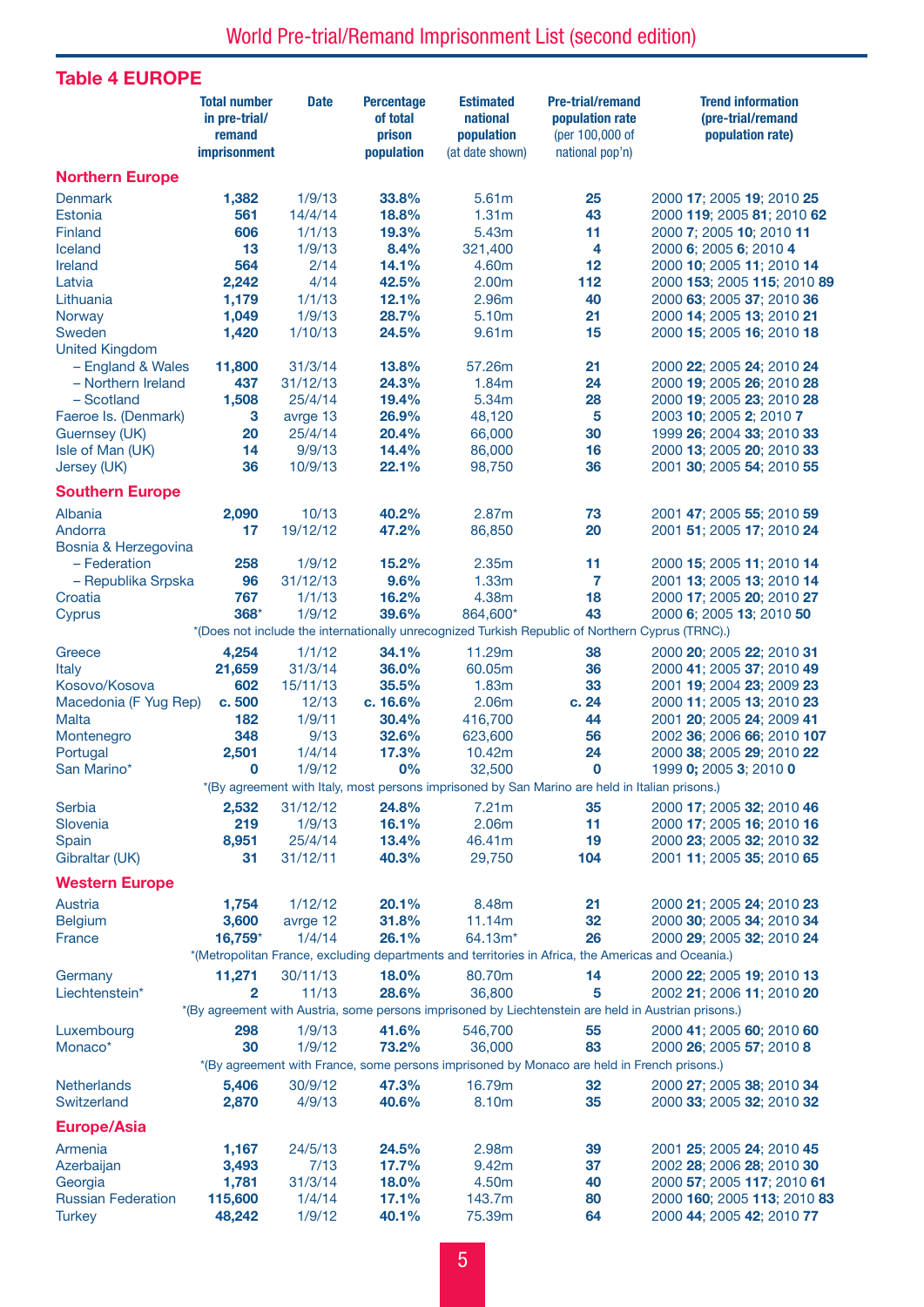## Table 4 EUROPE

|                           | <b>Total number</b><br>in pre-trial/<br>remand | <b>Date</b>       | <b>Percentage</b><br>of total<br>prison | <b>Estimated</b><br>national<br>population | <b>Pre-trial/remand</b><br>population rate<br>(per 100,000 of                                        | <b>Trend information</b><br>(pre-trial/remand<br>population rate) |
|---------------------------|------------------------------------------------|-------------------|-----------------------------------------|--------------------------------------------|------------------------------------------------------------------------------------------------------|-------------------------------------------------------------------|
|                           | <b>imprisonment</b>                            |                   | population                              | (at date shown)                            | national pop'n)                                                                                      |                                                                   |
| <b>Northern Europe</b>    |                                                |                   |                                         |                                            |                                                                                                      |                                                                   |
| <b>Denmark</b>            | 1,382                                          | 1/9/13            | 33.8%                                   | 5.61m                                      | 25                                                                                                   | 2000 17; 2005 19; 2010 25                                         |
| Estonia                   | 561                                            | 14/4/14           | 18.8%                                   | 1.31 <sub>m</sub>                          | 43                                                                                                   | 2000 119; 2005 81; 2010 62                                        |
| Finland                   | 606                                            | 1/1/13            | 19.3%                                   | 5.43m                                      | 11                                                                                                   | 2000 7; 2005 10; 2010 11                                          |
| Iceland                   | 13                                             | 1/9/13            | 8.4%                                    | 321,400                                    | 4                                                                                                    | 2000 6; 2005 6; 2010 4                                            |
| Ireland                   | 564                                            | 2/14              | 14.1%                                   | 4.60m                                      | 12                                                                                                   | 2000 10; 2005 11; 2010 14                                         |
| Latvia                    | 2,242                                          | 4/14              | 42.5%                                   | 2.00m                                      | 112                                                                                                  | 2000 153; 2005 115; 2010 89                                       |
| Lithuania                 | 1,179                                          | 1/1/13            | 12.1%                                   | 2.96m                                      | 40                                                                                                   | 2000 63; 2005 37; 2010 36                                         |
| Norway<br>Sweden          | 1,049<br>1,420                                 | 1/9/13<br>1/10/13 | 28.7%<br>24.5%                          | 5.10m<br>9.61m                             | 21<br>15                                                                                             | 2000 14; 2005 13; 2010 21                                         |
| <b>United Kingdom</b>     |                                                |                   |                                         |                                            |                                                                                                      | 2000 15; 2005 16; 2010 18                                         |
| - England & Wales         | 11,800                                         | 31/3/14           | 13.8%                                   | 57.26m                                     | 21                                                                                                   | 2000 22; 2005 24; 2010 24                                         |
| - Northern Ireland        | 437                                            | 31/12/13          | 24.3%                                   | 1.84m                                      | 24                                                                                                   | 2000 19; 2005 26; 2010 28                                         |
| - Scotland                | 1,508                                          | 25/4/14           | 19.4%                                   | 5.34m                                      | 28                                                                                                   | 2000 19; 2005 23; 2010 28                                         |
| Faeroe Is. (Denmark)      | 3                                              | avrge 13          | 26.9%                                   | 48,120                                     | 5                                                                                                    | 2003 10; 2005 2; 2010 7                                           |
| <b>Guernsey (UK)</b>      | 20                                             | 25/4/14           | 20.4%                                   | 66,000                                     | 30                                                                                                   | 1999 26; 2004 33; 2010 33                                         |
| Isle of Man (UK)          | 14                                             | 9/9/13            | 14.4%                                   | 86,000                                     | 16                                                                                                   | 2000 13; 2005 20; 2010 33                                         |
| Jersey (UK)               | 36                                             | 10/9/13           | 22.1%                                   | 98,750                                     | 36                                                                                                   | 2001 30; 2005 54; 2010 55                                         |
| <b>Southern Europe</b>    |                                                |                   |                                         |                                            |                                                                                                      |                                                                   |
| Albania                   | 2,090                                          | 10/13             | 40.2%                                   | 2.87m                                      | 73                                                                                                   | 2001 47; 2005 55; 2010 59                                         |
| Andorra                   | 17                                             | 19/12/12          | 47.2%                                   | 86,850                                     | 20                                                                                                   | 2001 51; 2005 17; 2010 24                                         |
| Bosnia & Herzegovina      |                                                |                   |                                         |                                            |                                                                                                      |                                                                   |
| - Federation              | 258                                            | 1/9/12            | 15.2%                                   | 2.35m                                      | 11                                                                                                   | 2000 15; 2005 11; 2010 14                                         |
| - Republika Srpska        | 96                                             | 31/12/13          | 9.6%                                    | 1.33m                                      | 7                                                                                                    | 2001 13; 2005 13; 2010 14                                         |
| Croatia                   | 767                                            | 1/1/13            | 16.2%                                   | 4.38m                                      | 18                                                                                                   | 2000 17; 2005 20; 2010 27                                         |
| Cyprus                    | 368*                                           | 1/9/12            | 39.6%                                   | 864,600*                                   | 43                                                                                                   | 2000 6; 2005 13; 2010 50                                          |
|                           |                                                |                   |                                         |                                            | *(Does not include the internationally unrecognized Turkish Republic of Northern Cyprus (TRNC).)     |                                                                   |
| Greece                    | 4,254                                          | 1/1/12            | 34.1%                                   | 11.29m                                     | 38                                                                                                   | 2000 20; 2005 22; 2010 31                                         |
| <b>Italy</b>              | 21,659                                         | 31/3/14           | 36.0%                                   | 60.05m                                     | 36                                                                                                   | 2000 41; 2005 37; 2010 49                                         |
| Kosovo/Kosova             | 602                                            | 15/11/13          | 35.5%                                   | 1.83m                                      | 33                                                                                                   | 2001 19; 2004 23; 2009 23                                         |
| Macedonia (F Yug Rep)     | c. 500                                         | 12/13             | c. 16.6%                                | 2.06m                                      | c. 24                                                                                                | 2000 11: 2005 13: 2010 23                                         |
| <b>Malta</b>              | 182                                            | 1/9/11            | 30.4%                                   | 416,700                                    | 44                                                                                                   | 2001 20; 2005 24; 2009 41                                         |
| Montenegro                | 348                                            | 9/13              | 32.6%                                   | 623,600                                    | 56                                                                                                   | 2002 36; 2006 66; 2010 107                                        |
| Portugal                  | 2,501                                          | 1/4/14            | 17.3%                                   | 10.42m                                     | 24                                                                                                   | 2000 38; 2005 29; 2010 22                                         |
| San Marino*               | 0                                              | 1/9/12            | 0%                                      | 32,500                                     | 0                                                                                                    | 1999 0; 2005 3; 2010 0                                            |
|                           |                                                |                   |                                         |                                            | *(By agreement with Italy, most persons imprisoned by San Marino are held in Italian prisons.)       |                                                                   |
| <b>Serbia</b>             | 2,532                                          | 31/12/12          | 24.8%                                   | 7.21m                                      | 35                                                                                                   | 2000 17; 2005 32; 2010 46                                         |
| Slovenia                  | 219                                            | 1/9/13            | 16.1%                                   | 2.06m                                      | 11                                                                                                   | 2000 17; 2005 16; 2010 16                                         |
| Spain                     | 8,951                                          | 25/4/14           | 13.4%                                   | 46.41m                                     | 19                                                                                                   | 2000 23; 2005 32; 2010 32                                         |
| Gibraltar (UK)            | 31                                             | 31/12/11          | 40.3%                                   | 29,750                                     | 104                                                                                                  | 2001 11; 2005 35; 2010 65                                         |
| <b>Western Europe</b>     |                                                |                   |                                         |                                            |                                                                                                      |                                                                   |
| Austria                   | 1,754                                          | 1/12/12           | 20.1%                                   | 8.48m                                      | 21                                                                                                   | 2000 21; 2005 24; 2010 23                                         |
| <b>Belgium</b>            | 3,600                                          | avrge 12          | 31.8%                                   | 11.14m                                     | 32                                                                                                   | 2000 30; 2005 34; 2010 34                                         |
| France                    | 16,759*                                        | 1/4/14            | 26.1%                                   | 64.13m*                                    | 26                                                                                                   | 2000 29; 2005 32; 2010 24                                         |
|                           |                                                |                   |                                         |                                            | *(Metropolitan France, excluding departments and territories in Africa, the Americas and Oceania.)   |                                                                   |
| Germany                   | 11,271                                         | 30/11/13          | 18.0%                                   | 80.70m                                     | 14                                                                                                   | 2000 22; 2005 19; 2010 13                                         |
| Liechtenstein*            | 2                                              | 11/13             | 28.6%                                   | 36,800                                     | 5                                                                                                    | 2002 21; 2006 11; 2010 20                                         |
|                           |                                                |                   |                                         |                                            | *(By agreement with Austria, some persons imprisoned by Liechtenstein are held in Austrian prisons.) |                                                                   |
| Luxembourg                | 298                                            | 1/9/13            | 41.6%                                   | 546,700                                    | 55                                                                                                   | 2000 41; 2005 60; 2010 60                                         |
| Monaco*                   | 30                                             | 1/9/12            | 73.2%                                   | 36,000                                     | 83                                                                                                   | 2000 26; 2005 57; 2010 8                                          |
|                           |                                                |                   |                                         |                                            | *(By agreement with France, some persons imprisoned by Monaco are held in French prisons.)           |                                                                   |
| <b>Netherlands</b>        | 5,406                                          | 30/9/12           | 47.3%                                   | 16.79m                                     | 32                                                                                                   | 2000 27; 2005 38; 2010 34                                         |
| Switzerland               | 2,870                                          | 4/9/13            | 40.6%                                   | 8.10m                                      | 35                                                                                                   | 2000 33; 2005 32; 2010 32                                         |
| <b>Europe/Asia</b>        |                                                |                   |                                         |                                            |                                                                                                      |                                                                   |
| Armenia                   | 1,167                                          | 24/5/13           | 24.5%                                   | 2.98m                                      | 39                                                                                                   | 2001 25; 2005 24; 2010 45                                         |
| Azerbaijan                | 3,493                                          | 7/13              | 17.7%                                   | 9.42m                                      | 37                                                                                                   | 2002 28; 2006 28; 2010 30                                         |
| Georgia                   | 1,781                                          | 31/3/14           | 18.0%                                   | 4.50m                                      | 40                                                                                                   | 2000 57; 2005 117; 2010 61                                        |
| <b>Russian Federation</b> | 115,600                                        | 1/4/14            | 17.1%                                   | 143.7m                                     | 80                                                                                                   | 2000 160; 2005 113; 2010 83                                       |
| <b>Turkey</b>             | 48,242                                         | 1/9/12            | 40.1%                                   | 75.39m                                     | 64                                                                                                   | 2000 44; 2005 42; 2010 77                                         |